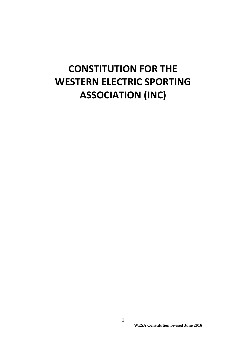# **CONSTITUTION FOR THE WESTERN ELECTRIC SPORTING ASSOCIATION (INC)**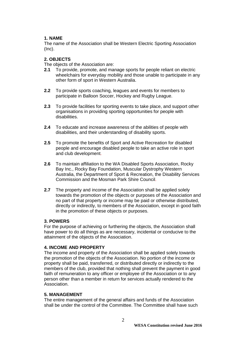# **1. NAME**

The name of the Association shall be Western Electric Sporting Association  $(Inc).$ 

# **2. OBJECTS**

The objects of the Association are:

- **2.1** To provide, promote, and manage sports for people reliant on electric wheelchairs for everyday mobility and those unable to participate in any other form of sport in Western Australia.
- **2.2** To provide sports coaching, leagues and events for members to participate in Balloon Soccer, Hockey and Rugby League.
- **2.3** To provide facilities for sporting events to take place, and support other organisations in providing sporting opportunities for people with disabilities.
- **2.4** To educate and increase awareness of the abilities of people with disabilities, and their understanding of disability sports.
- **2.5** To promote the benefits of Sport and Active Recreation for disabled people and encourage disabled people to take an active role in sport and club development.
- **2.6** To maintain affiliation to the WA Disabled Sports Association, Rocky Bay Inc., Rocky Bay Foundation, Muscular Dystrophy Western Australia, the Department of Sport & Recreation, the Disability Services Commission and the Mosman Park Shire Council.
- **2.7** The property and income of the Association shall be applied solely towards the promotion of the objects or purposes of the Association and no part of that property or income may be paid or otherwise distributed, directly or indirectly, to members of the Association, except in good faith in the promotion of these objects or purposes.

# **3. POWERS**

For the purpose of achieving or furthering the objects, the Association shall have power to do all things as are necessary, incidental or conducive to the attainment of the objects of the Association.

## **4. INCOME AND PROPERTY**

The income and property of the Association shall be applied solely towards the promotion of the objects of the Association. No portion of the income or property shall be paid, transferred, or distributed directly or indirectly to the members of the club, provided that nothing shall prevent the payment in good faith of remuneration to any officer or employee of the Association or to any person other than a member in return for services actually rendered to the Association.

## **5. MANAGEMENT**

The entire management of the general affairs and funds of the Association shall be under the control of the Committee. The Committee shall have such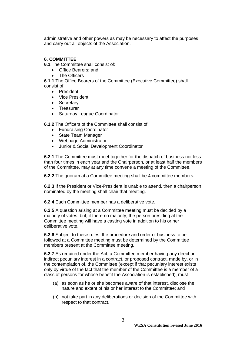administrative and other powers as may be necessary to affect the purposes and carry out all objects of the Association.

# **6. COMMITTEE**

**6.1** The Committee shall consist of:

- Office Bearers; and
- The Officers

**6.1.1** The Office Bearers of the Committee (Executive Committee) shall consist of:

- President
- Vice President
- **•** Secretary
- Treasurer
- Saturday League Coordinator

**6.1.2** The Officers of the Committee shall consist of:

- Fundraising Coordinator
- State Team Manager
- Webpage Administrator
- Junior & Social Development Coordinator

**6.2.1** The Committee must meet together for the dispatch of business not less than four times in each year and the Chairperson, or at least half the members of the Committee, may at any time convene a meeting of the Committee.

**6.2.2** The quorum at a Committee meeting shall be 4 committee members.

**6.2.3** If the President or Vice-President is unable to attend, then a chairperson nominated by the meeting shall chair that meeting.

**6.2.4** Each Committee member has a deliberative vote.

**6.2.5** A question arising at a Committee meeting must be decided by a majority of votes, but, if there no majority, the person presiding at the Committee meeting will have a casting vote in addition to his or her deliberative vote.

**6.2.6** Subject to these rules, the procedure and order of business to be followed at a Committee meeting must be determined by the Committee members present at the Committee meeting.

**6.2.7** As required under the Act, a Committee member having any direct or indirect pecuniary interest in a contract, or proposed contract, made by, or in the contemplation of, the Committee (except if that pecuniary interest exists only by virtue of the fact that the member of the Committee is a member of a class of persons for whose benefit the Association is established), must-

- (a) as soon as he or she becomes aware of that interest, disclose the nature and extent of his or her interest to the Committee; and
- (b) not take part in any deliberations or decision of the Committee with respect to that contract.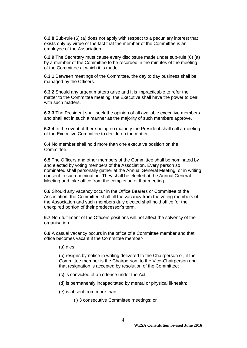**6.2.8** Sub-rule (6) (a) does not apply with respect to a pecuniary interest that exists only by virtue of the fact that the member of the Committee is an employee of the Association.

**6.2.9** The Secretary must cause every disclosure made under sub-rule (6) (a) by a member of the Committee to be recorded in the minutes of the meeting of the Committee at which it is made.

**6.3.1** Between meetings of the Committee, the day to day business shall be managed by the Officers.

**6.3.2** Should any urgent matters arise and it is impracticable to refer the matter to the Committee meeting, the Executive shall have the power to deal with such matters.

**6.3.3** The President shall seek the opinion of all available executive members and shall act in such a manner as the majority of such members approve.

**6.3.4** In the event of there being no majority the President shall call a meeting of the Executive Committee to decide on the matter.

**6.4** No member shall hold more than one executive position on the Committee.

**6.5** The Officers and other members of the Committee shall be nominated by and elected by voting members of the Association. Every person so nominated shall personally gather at the Annual General Meeting, or in writing consent to such nomination. They shall be elected at the Annual General Meeting and take office from the completion of that meeting.

**6.6** Should any vacancy occur in the Office Bearers or Committee of the Association, the Committee shall fill the vacancy from the voting members of the Association and such members duly elected shall hold office for the unexpired portion of their predecessor's term.

**6.7** Non-fulfilment of the Officers positions will not affect the solvency of the organisation.

**6.8** A casual vacancy occurs in the office of a Committee member and that office becomes vacant if the Committee member-

(a) dies;

(b) resigns by notice in writing delivered to the Chairperson or, if the Committee member is the Chairperson, to the Vice-Chairperson and that resignation is accepted by resolution of the Committee;

- (c) is convicted of an offence under the Act;
- (d) is permanently incapacitated by mental or physical ill-health;
- (e) is absent from more than-

(i) 3 consecutive Committee meetings; or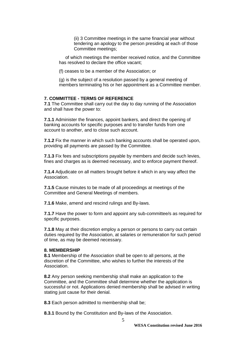(ii) 3 Committee meetings in the same financial year without tendering an apology to the person presiding at each of those Committee meetings;

 of which meetings the member received notice, and the Committee has resolved to declare the office vacant;

(f) ceases to be a member of the Association; or

(g) is the subject of a resolution passed by a general meeting of members terminating his or her appointment as a Committee member.

#### **7. COMMITTEE - TERMS OF REFERENCE**

**7.1** The Committee shall carry out the day to day running of the Association and shall have the power to:

**7.1.1** Administer the finances, appoint bankers, and direct the opening of banking accounts for specific purposes and to transfer funds from one account to another, and to close such account.

**7.1.2** Fix the manner in which such banking accounts shall be operated upon, providing all payments are passed by the Committee.

**7.1.3** Fix fees and subscriptions payable by members and decide such levies, fines and charges as is deemed necessary, and to enforce payment thereof.

**7.1.4** Adjudicate on all matters brought before it which in any way affect the Association.

**7.1.5** Cause minutes to be made of all proceedings at meetings of the Committee and General Meetings of members.

**7.1.6** Make, amend and rescind rulings and By-laws.

**7.1.7** Have the power to form and appoint any sub-committee/s as required for specific purposes.

**7.1.8** May at their discretion employ a person or persons to carry out certain duties required by the Association, at salaries or remuneration for such period of time, as may be deemed necessary.

#### **8. MEMBERSHIP**

**8.1** Membership of the Association shall be open to all persons, at the discretion of the Committee, who wishes to further the interests of the Association.

**8.2** Any person seeking membership shall make an application to the Committee, and the Committee shall determine whether the application is successful or not. Applications denied membership shall be advised in writing stating just cause for their denial.

**8.3** Each person admitted to membership shall be;

**8.3.1** Bound by the Constitution and By-laws of the Association.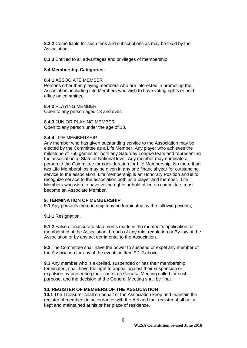**8.3.2** Come liable for such fees and subscriptions as may be fixed by the Association.

**8.3.3** Entitled to all advantages and privileges of membership.

#### **8.4 Membership Categories:**

#### **8.4.1** ASSOCIATE MEMBER

Persons other than playing members who are interested in promoting the Association, including Life Members who wish to have voting rights or hold office on committee.

**8.4.2** PLAYING MEMBER Open to any person aged 18 and over.

**8.4.3** JUNIOR PLAYING MEMBER Open to any person under the age of 18.

#### **8.4.4** LIFE MEMBERSHIP

Any member who has given outstanding service to the Association may be elected by the Committee as a Life Member. Any player who achieves the milestone of 750 games for both any Saturday League team and representing the association at State or National level. Any member may nominate a person to the Committee for consideration for Life Membership. No more than two Life Memberships may be given in any one financial year for outstanding service to the association. Life membership is an Honorary Position and is to recognize service to the association both as a player and member. Life Members who wish to have voting rights or hold office on committee, must become an Associate Member.

## **9. TERMINATION OF MEMBERSHIP**

**9.1** Any person's membership may be terminated by the following events;

**9.1.1** Resignation.

**9.1.2** False or inaccurate statements made in the member's application for membership of the Association, breach of any rule, regulation or By-law of the Association or by any act detrimental to the Association.

**9.2** The Committee shall have the power to suspend or expel any member of the Association for any of the events in Item 9.1.2 above.

**9.3** Any member who is expelled, suspended or has their membership terminated, shall have the right to appeal against their suspension or expulsion by presenting their case to a General Meeting called for such purpose, and the decision of the General Meeting shall be final.

## **10. REGISTER OF MEMBERS OF THE ASSOCIATION**

**10.1** The Treasurer shall on behalf of the Association keep and maintain the register of members in accordance with the Act and that register shall be so kept and maintained at his or her place of residence.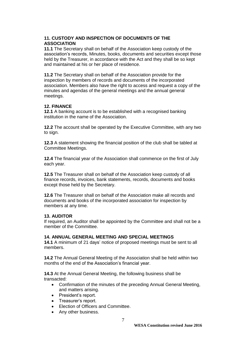## **11. CUSTODY AND INSPECTION OF DOCUMENTS OF THE ASSOCIATION**

**11.1** The Secretary shall on behalf of the Association keep custody of the association's records, Minutes, books, documents and securities except those held by the Treasurer, in accordance with the Act and they shall be so kept and maintained at his or her place of residence.

**11.2** The Secretary shall on behalf of the Association provide for the inspection by members of records and documents of the incorporated association. Members also have the right to access and request a copy of the minutes and agendas of the general meetings and the annual general meetings.

## **12. FINANCE**

**12.1** A banking account is to be established with a recognised banking institution in the name of the Association.

**12.2** The account shall be operated by the Executive Committee, with any two to sign.

**12.3** A statement showing the financial position of the club shall be tabled at Committee Meetings.

**12.4** The financial year of the Association shall commence on the first of July each year.

**12.5** The Treasurer shall on behalf of the Association keep custody of all finance records, invoices, bank statements, records, documents and books except those held by the Secretary.

**12.6** The Treasurer shall on behalf of the Association make all records and documents and books of the incorporated association for inspection by members at any time.

## **13. AUDITOR**

If required, an Auditor shall be appointed by the Committee and shall not be a member of the Committee.

## **14. ANNUAL GENERAL MEETING AND SPECIAL MEETINGS**

**14.1** A minimum of 21 days' notice of proposed meetings must be sent to all members.

**14.2** The Annual General Meeting of the Association shall be held within two months of the end of the Association's financial year.

**14.3** At the Annual General Meeting, the following business shall be transacted:

- Confirmation of the minutes of the preceding Annual General Meeting, and matters arising.
- President's report.
- Treasurer's report.
- Election of Officers and Committee.
- Any other business.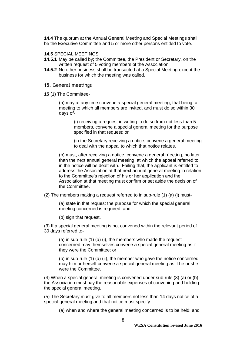**14.4** The quorum at the Annual General Meeting and Special Meetings shall be the Executive Committee and 5 or more other persons entitled to vote.

**14.5** SPECIAL MEETINGS

- **14.5.1** May be called by; the Committee, the President or Secretary, on the written request of 5 voting members of the Association.
- **14.5.2** No other business shall be transacted at a Special Meeting except the business for which the meeting was called.
- 15. General meetings
- **15** (1) The Committee-

(a) may at any time convene a special general meeting, that being, a meeting to which all members are invited, and must do so within 30 days of-

> (i) receiving a request in writing to do so from not less than 5 members, convene a special general meeting for the purpose specified in that request; or

(ii) the Secretary receiving a notice, convene a general meeting to deal with the appeal to which that notice relates.

(b) must, after receiving a notice, convene a general meeting, no later than the next annual general meeting, at which the appeal referred to in the notice will be dealt with. Failing that, the applicant is entitled to address the Association at that next annual general meeting in relation to the Committee's rejection of his or her application and the Association at that meeting must confirm or set aside the decision of the Committee.

(2) The members making a request referred to in sub-rule (1) (a) (i) must-

(a) state in that request the purpose for which the special general meeting concerned is required; and

(b) sign that request.

(3) If a special general meeting is not convened within the relevant period of 30 days referred to-

(a) in sub-rule (1) (a) (i), the members who made the request concerned may themselves convene a special general meeting as if they were the Committee; or

(b) in sub-rule (1) (a) (ii), the member who gave the notice concerned may him or herself convene a special general meeting as if he or she were the Committee.

(4) When a special general meeting is convened under sub-rule (3) (a) or (b) the Association must pay the reasonable expenses of convening and holding the special general meeting.

(5) The Secretary must give to all members not less than 14 days notice of a special general meeting and that notice must specify-

(a) when and where the general meeting concerned is to be held; and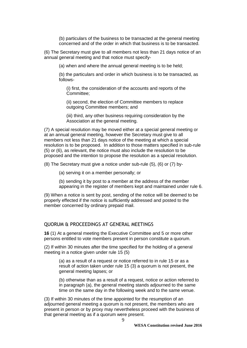(b) particulars of the business to be transacted at the general meeting concerned and of the order in which that business is to be transacted.

(6) The Secretary must give to all members not less than 21 days notice of an annual general meeting and that notice must specify-

(a) when and where the annual general meeting is to be held;

(b) the particulars and order in which business is to be transacted, as follows-

(i) first, the consideration of the accounts and reports of the Committee;

(ii) second, the election of Committee members to replace outgoing Committee members; and

(iii) third, any other business requiring consideration by the Association at the general meeting.

(7) A special resolution may be moved either at a special general meeting or at an annual general meeting, however the Secretary must give to all members not less than 21 days notice of the meeting at which a special resolution is to be proposed. In addition to those matters specified in sub-rule (5) or (6), as relevant, the notice must also include the resolution to be proposed and the intention to propose the resolution as a special resolution.

(8) The Secretary must give a notice under sub-rule (5), (6) or (7) by-

(a) serving it on a member personally; or

(b) sending it by post to a member at the address of the member appearing in the register of members kept and maintained under rule 6.

(9) When a notice is sent by post, sending of the notice will be deemed to be properly effected if the notice is sufficiently addressed and posted to the member concerned by ordinary prepaid mail.

#### QUORUM & PROCEEDINGS AT GENERAL MEETINGS

**16** (1) At a general meeting the Executive Committee and 5 or more other persons entitled to vote members present in person constitute a quorum.

(2) If within 30 minutes after the time specified for the holding of a general meeting in a notice given under rule 15 (5)

(a) as a result of a request or notice referred to in rule 15 or as a result of action taken under rule 15 (3) a quorum is not present, the general meeting lapses; or

(b) otherwise than as a result of a request, notice or action referred to in paragraph (a), the general meeting stands adjourned to the same time on the same day in the following week and to the same venue.

(3) If within 30 minutes of the time appointed for the resumption of an adjourned general meeting a quorum is not present, the members who are present in person or by proxy may nevertheless proceed with the business of that general meeting as if a quorum were present.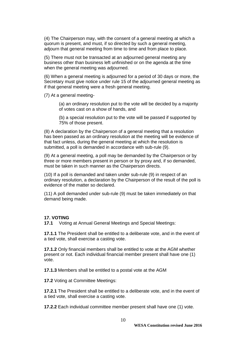(4) The Chairperson may, with the consent of a general meeting at which a quorum is present, and must, if so directed by such a general meeting, adjourn that general meeting from time to time and from place to place.

(5) There must not be transacted at an adjourned general meeting any business other than business left unfinished or on the agenda at the time when the general meeting was adjourned.

(6) When a general meeting is adjourned for a period of 30 days or more, the Secretary must give notice under rule 15 of the adjourned general meeting as if that general meeting were a fresh general meeting.

(7) At a general meeting-

(a) an ordinary resolution put to the vote will be decided by a majority of votes cast on a show of hands, and

(b) a special resolution put to the vote will be passed if supported by 75% of those present.

(8) A declaration by the Chairperson of a general meeting that a resolution has been passed as an ordinary resolution at the meeting will be evidence of that fact unless, during the general meeting at which the resolution is submitted, a poll is demanded in accordance with sub-rule (9).

(9) At a general meeting, a poll may be demanded by the Chairperson or by three or more members present in person or by proxy and, if so demanded, must be taken in such manner as the Chairperson directs.

(10) If a poll is demanded and taken under sub-rule (9) in respect of an ordinary resolution, a declaration by the Chairperson of the result of the poll is evidence of the matter so declared.

(11) A poll demanded under sub-rule (9) must be taken immediately on that demand being made.

#### **17. VOTING**

**17.1** Voting at Annual General Meetings and Special Meetings:

**17.1.1** The President shall be entitled to a deliberate vote, and in the event of a tied vote, shall exercise a casting vote.

**17.1.2** Only financial members shall be entitled to vote at the AGM whether present or not. Each individual financial member present shall have one (1) vote.

**17.1.3** Members shall be entitled to a postal vote at the AGM

**17.2** Voting at Committee Meetings:

**17.2.1** The President shall be entitled to a deliberate vote, and in the event of a tied vote, shall exercise a casting vote.

**17.2.2** Each individual committee member present shall have one (1) vote.